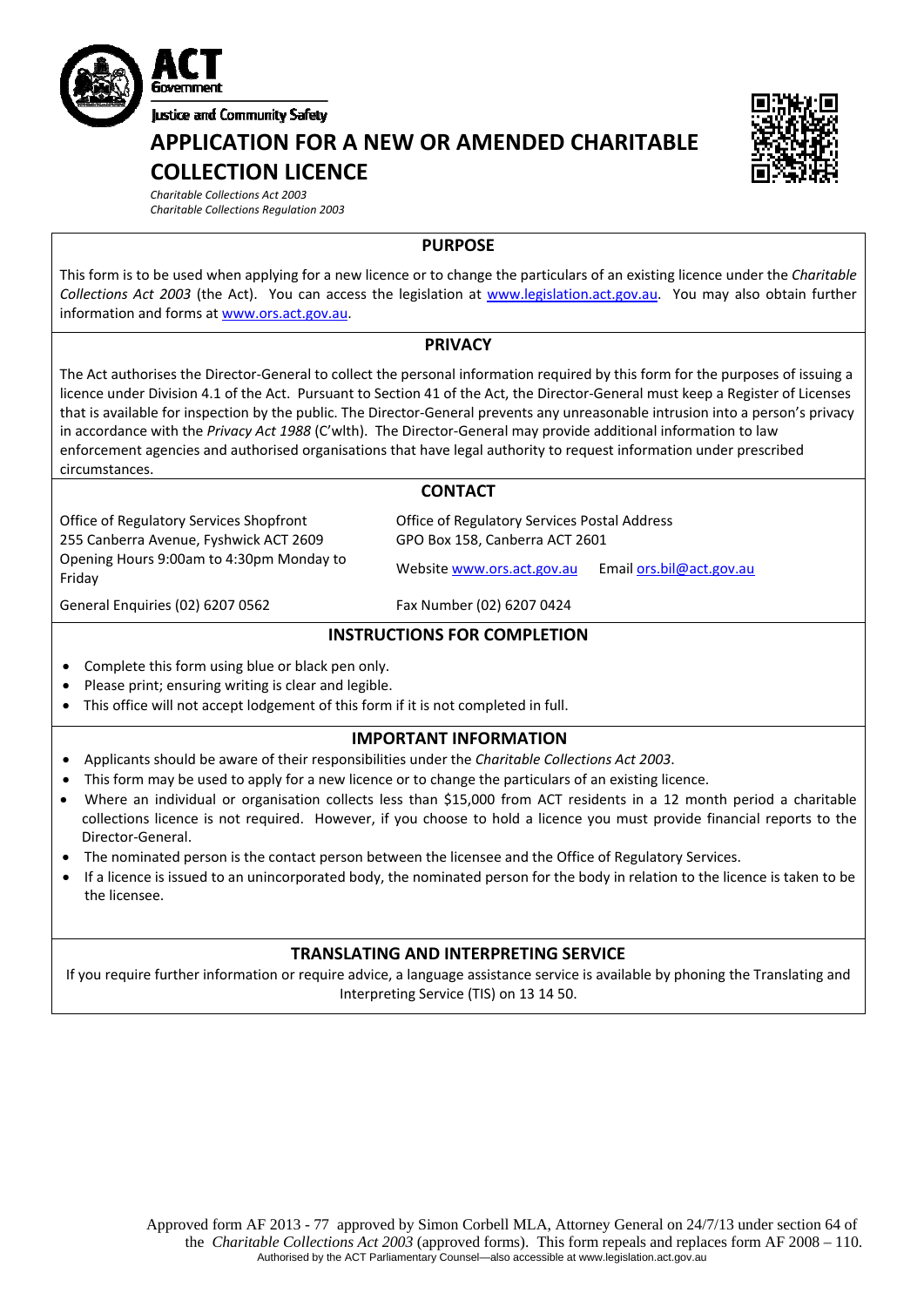

**APPLICATION FOR A NEW OR AMENDED CHARITABLE COLLECTION LICENCE**



*Charitable Collections Act 2003 Charitable Collections Regulation 2003*

# **PURPOSE**

This form is to be used when applying for a new licence or to change the particulars of an existing licence under the *Charitable Collections Act 2003* (the Act). You can access the legislation at [www.legislation.act.gov.au.](http://www.legislation.act.gov.au/) You may also obtain further information and forms at [www.ors.act.gov.au](http://www.ors.act.gov.au/).

### **PRIVACY**

The Act authorises the Director‐General to collect the personal information required by this form for the purposes of issuing a licence under Division 4.1 of the Act. Pursuant to Section 41 of the Act, the Director‐General must keep a Register of Licenses that is available for inspection by the public. The Director‐General prevents any unreasonable intrusion into a person's privacy in accordance with the *Privacy Act 1988* (C'wlth). The Director‐General may provide additional information to law enforcement agencies and authorised organisations that have legal authority to request information under prescribed circumstances.

## **CONTACT**

Office of Regulatory Services Shopfront 255 Canberra Avenue, Fyshwick ACT 2609 Opening Hours 9:00am to 4:30pm Monday to Email ors.bil@act.gov.au Friday Website [www.ors.act.gov.au](http://www.ors.act.gov.au/) Email [ors.bil@act.gov.au](mailto:ors.bil@act.gov.au) Friday

Office of Regulatory Services Postal Address GPO Box 158, Canberra ACT 2601

General Enquiries (02) 6207 0562 Fax Number (02) 6207 0424

## **INSTRUCTIONS FOR COMPLETION**

- Complete this form using blue or black pen only.
- Please print; ensuring writing is clear and legible.
- This office will not accept lodgement of this form if it is not completed in full.

# **IMPORTANT INFORMATION**

- Applicants should be aware of their responsibilities under the *Charitable Collections Act 2003*.
- This form may be used to apply for a new licence or to change the particulars of an existing licence.
- Where an individual or organisation collects less than \$15,000 from ACT residents in a 12 month period a charitable collections licence is not required. However, if you choose to hold a licence you must provide financial reports to the Director‐General.
- The nominated person is the contact person between the licensee and the Office of Regulatory Services.
- If a licence is issued to an unincorporated body, the nominated person for the body in relation to the licence is taken to be the licensee.

### **TRANSLATING AND INTERPRETING SERVICE**

If you require further information or require advice, a language assistance service is available by phoning the Translating and Interpreting Service (TIS) on 13 14 50.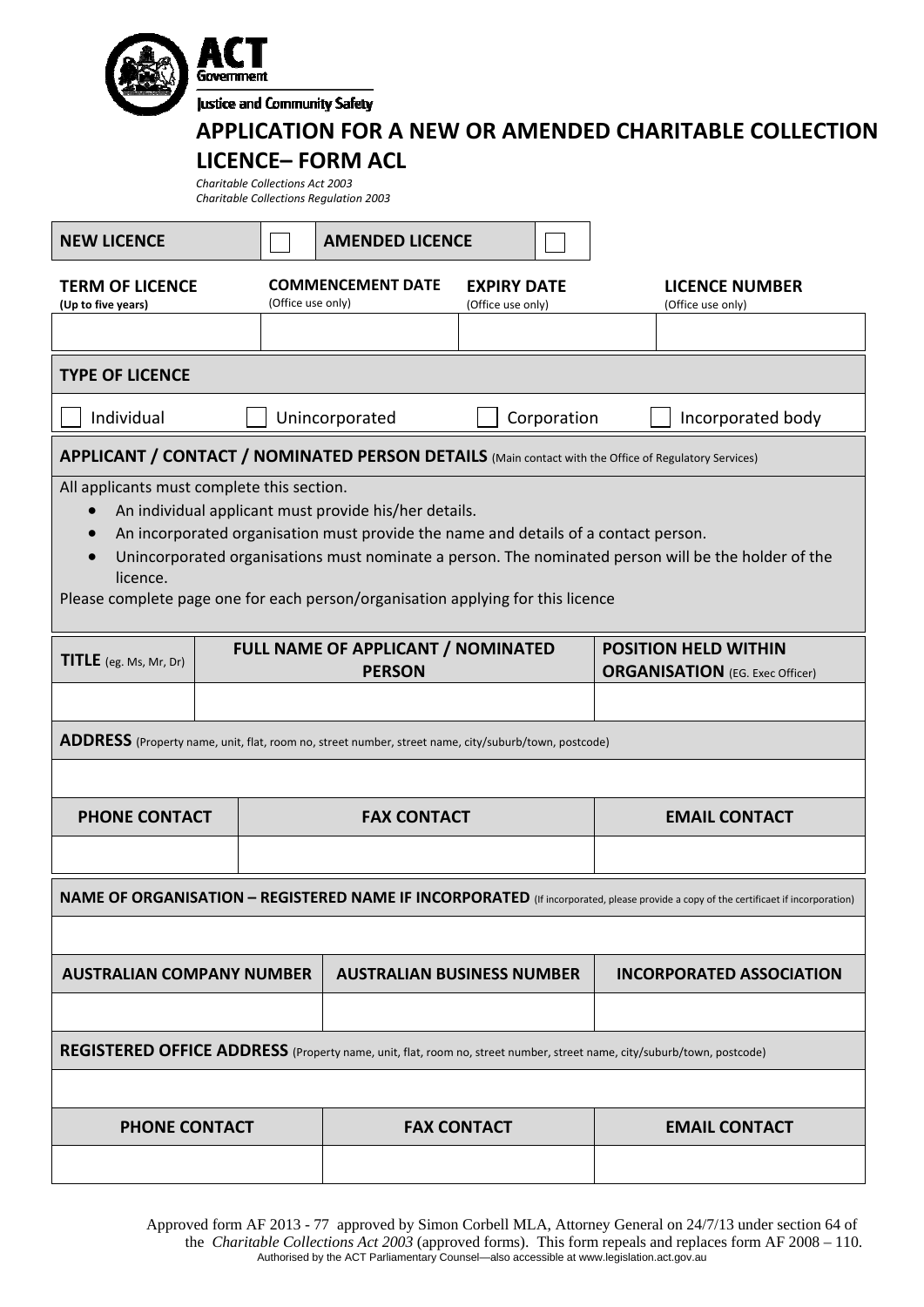|                                                                                                                                            | memmen<br><b>Justice and Community Safety</b><br><b>APPLICATION FOR A NEW OR AMENDED CHARITABLE COLLECTION</b><br><b>LICENCE-FORM ACL</b><br>Charitable Collections Act 2003<br><b>Charitable Collections Regulation 2003</b> |                                                                                     |                                         |             |  |                                                                                                     |  |  |
|--------------------------------------------------------------------------------------------------------------------------------------------|-------------------------------------------------------------------------------------------------------------------------------------------------------------------------------------------------------------------------------|-------------------------------------------------------------------------------------|-----------------------------------------|-------------|--|-----------------------------------------------------------------------------------------------------|--|--|
| <b>NEW LICENCE</b>                                                                                                                         |                                                                                                                                                                                                                               | <b>AMENDED LICENCE</b>                                                              |                                         |             |  |                                                                                                     |  |  |
| <b>TERM OF LICENCE</b><br>(Up to five years)                                                                                               | (Office use only)                                                                                                                                                                                                             | <b>COMMENCEMENT DATE</b>                                                            | <b>EXPIRY DATE</b><br>(Office use only) |             |  | <b>LICENCE NUMBER</b><br>(Office use only)                                                          |  |  |
| <b>TYPE OF LICENCE</b>                                                                                                                     |                                                                                                                                                                                                                               |                                                                                     |                                         |             |  |                                                                                                     |  |  |
| Individual                                                                                                                                 |                                                                                                                                                                                                                               | Unincorporated                                                                      |                                         | Corporation |  | Incorporated body                                                                                   |  |  |
| APPLICANT / CONTACT / NOMINATED PERSON DETAILS (Main contact with the Office of Regulatory Services)                                       |                                                                                                                                                                                                                               |                                                                                     |                                         |             |  |                                                                                                     |  |  |
| licence.<br>Please complete page one for each person/organisation applying for this licence                                                |                                                                                                                                                                                                                               | An incorporated organisation must provide the name and details of a contact person. |                                         |             |  | Unincorporated organisations must nominate a person. The nominated person will be the holder of the |  |  |
| <b>TITLE</b> (eg. Ms, Mr, Dr)                                                                                                              |                                                                                                                                                                                                                               | <b>FULL NAME OF APPLICANT / NOMINATED</b><br><b>PERSON</b>                          |                                         |             |  | <b>POSITION HELD WITHIN</b><br><b>ORGANISATION</b> (EG. Exec Officer)                               |  |  |
| ADDRESS (Property name, unit, flat, room no, street number, street name, city/suburb/town, postcode)                                       |                                                                                                                                                                                                                               |                                                                                     |                                         |             |  |                                                                                                     |  |  |
|                                                                                                                                            |                                                                                                                                                                                                                               |                                                                                     |                                         |             |  |                                                                                                     |  |  |
| <b>PHONE CONTACT</b>                                                                                                                       |                                                                                                                                                                                                                               | <b>FAX CONTACT</b>                                                                  |                                         |             |  | <b>EMAIL CONTACT</b>                                                                                |  |  |
| <b>NAME OF ORGANISATION - REGISTERED NAME IF INCORPORATED</b> (If incorporated, please provide a copy of the certificaet if incorporation) |                                                                                                                                                                                                                               |                                                                                     |                                         |             |  |                                                                                                     |  |  |
| <b>AUSTRALIAN COMPANY NUMBER</b>                                                                                                           |                                                                                                                                                                                                                               | <b>AUSTRALIAN BUSINESS NUMBER</b>                                                   |                                         |             |  | <b>INCORPORATED ASSOCIATION</b>                                                                     |  |  |
| REGISTERED OFFICE ADDRESS (Property name, unit, flat, room no, street number, street name, city/suburb/town, postcode)                     |                                                                                                                                                                                                                               |                                                                                     |                                         |             |  |                                                                                                     |  |  |
| <b>PHONE CONTACT</b>                                                                                                                       |                                                                                                                                                                                                                               |                                                                                     | <b>FAX CONTACT</b>                      |             |  | <b>EMAIL CONTACT</b>                                                                                |  |  |
|                                                                                                                                            |                                                                                                                                                                                                                               |                                                                                     |                                         |             |  |                                                                                                     |  |  |

Approved form AF 2013 - 77 approved by Simon Corbell MLA, Attorney General on 24/7/13 under section 64 of the *Charitable Collections Act 2003* (approved forms). This form repeals and replaces form AF 2008 – 110. Authorised by the ACT Parliamentary Counsel—also accessible at www.legislation.act.gov.au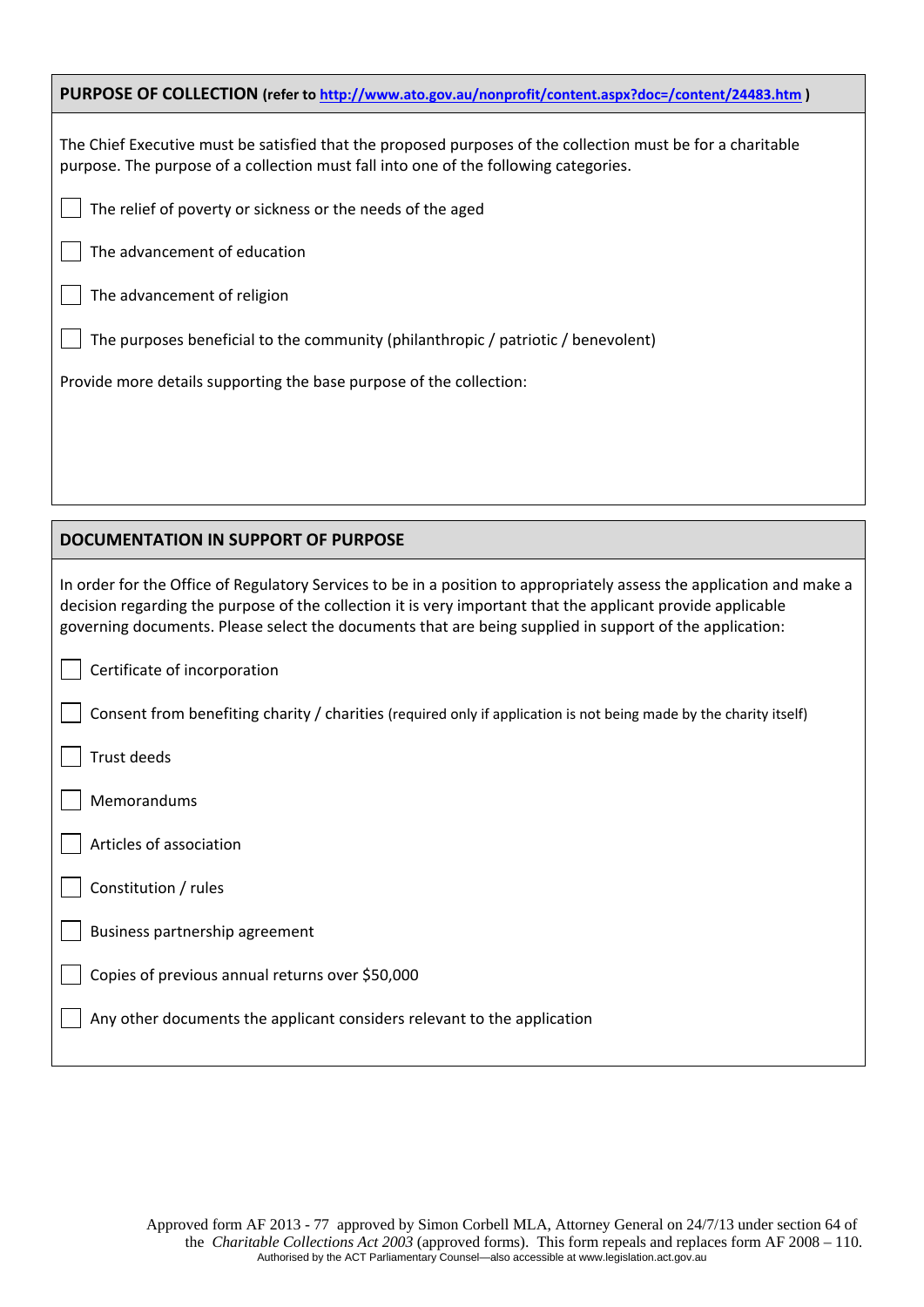| PURPOSE OF COLLECTION (refer to http://www.ato.gov.au/nonprofit/content.aspx?doc=/content/24483.htm)                                                                                                |
|-----------------------------------------------------------------------------------------------------------------------------------------------------------------------------------------------------|
| The Chief Executive must be satisfied that the proposed purposes of the collection must be for a charitable<br>purpose. The purpose of a collection must fall into one of the following categories. |
| The relief of poverty or sickness or the needs of the aged                                                                                                                                          |
| The advancement of education                                                                                                                                                                        |
| The advancement of religion                                                                                                                                                                         |
| The purposes beneficial to the community (philanthropic / patriotic / benevolent)                                                                                                                   |
| Provide more details supporting the base purpose of the collection:                                                                                                                                 |
|                                                                                                                                                                                                     |
|                                                                                                                                                                                                     |
|                                                                                                                                                                                                     |

| In order for the Office of Regulatory Services to be in a position to appropriately assess the application and make a<br>decision regarding the purpose of the collection it is very important that the applicant provide applicable<br>governing documents. Please select the documents that are being supplied in support of the application: |
|-------------------------------------------------------------------------------------------------------------------------------------------------------------------------------------------------------------------------------------------------------------------------------------------------------------------------------------------------|
| $\vert$ Certificate of incorporation                                                                                                                                                                                                                                                                                                            |
| Consent from benefiting charity / charities (required only if application is not being made by the charity itself)                                                                                                                                                                                                                              |

Trust deeds

Memorandums

Articles of association

# Constitution / rules

Business partnership agreement

Copies of previous annual returns over \$50,000

**DOCUMENTATION IN SUPPORT OF PURPOSE**

Any other documents the applicant considers relevant to the application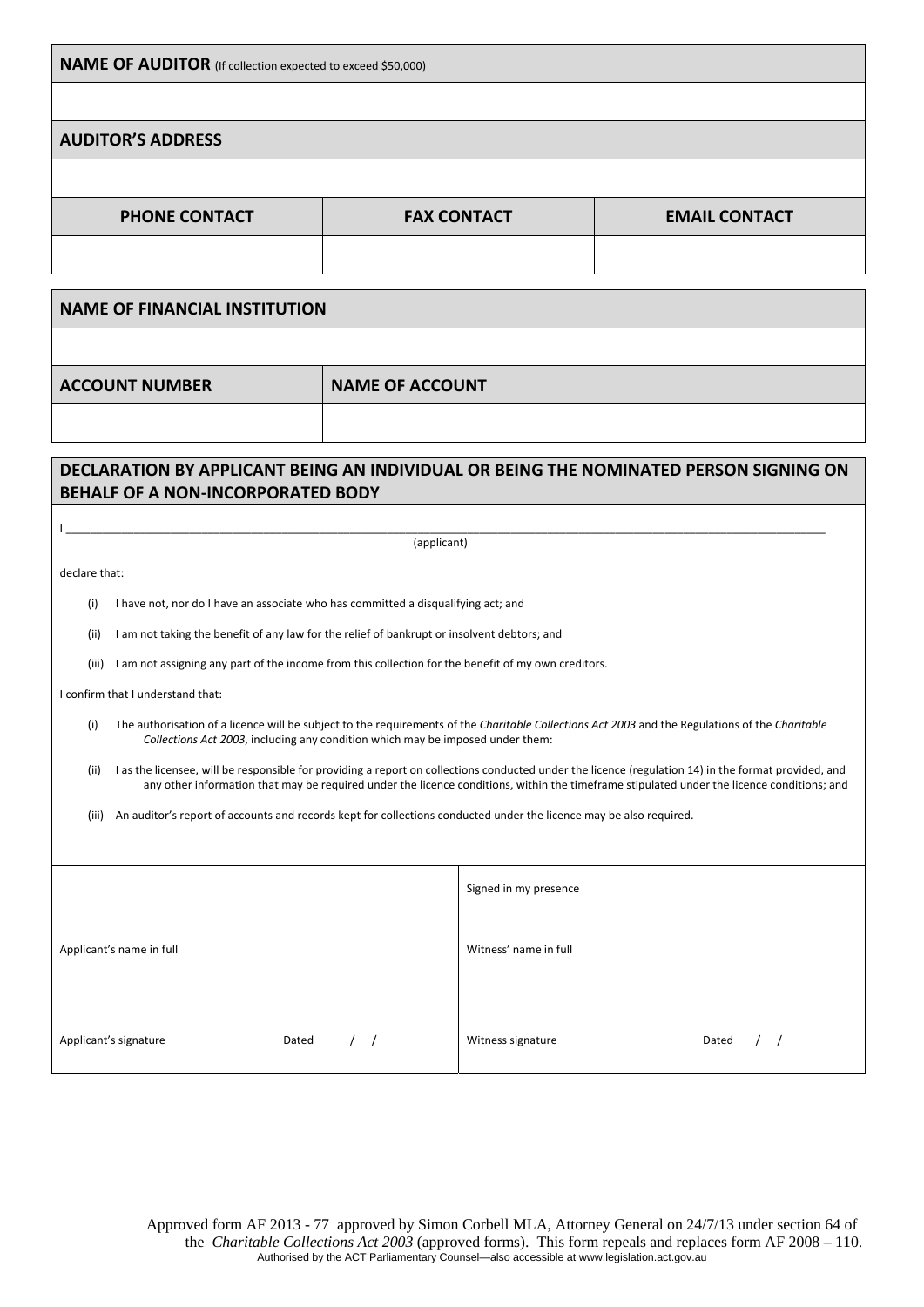|  | <b>NAME OF AUDITOR</b> (If collection expected to exceed \$50,000) |
|--|--------------------------------------------------------------------|
|--|--------------------------------------------------------------------|

### **AUDITOR'S ADDRESS**

| <b>PHONE CONTACT</b> | <b>FAX CONTACT</b> | <b>EMAIL CONTACT</b> |
|----------------------|--------------------|----------------------|
|                      |                    |                      |

**NAME OF FINANCIAL INSTITUTION**

the contract of the contract of the contract of

**ACCOUNT NUMBER NAME OF ACCOUNT**

# **DECLARATION BY APPLICANT BEING AN INDIVIDUAL OR BEING THE NOMINATED PERSON SIGNING ON BEHALF OF A NON‐INCORPORATED BODY**

I \_\_\_\_\_\_\_\_\_\_\_\_\_\_\_\_\_\_\_\_\_\_\_\_\_\_\_\_\_\_\_\_\_\_\_\_\_\_\_\_\_\_\_\_\_\_\_\_\_\_\_\_\_\_\_\_\_\_\_\_\_\_\_\_\_\_\_\_\_\_\_\_\_\_\_\_\_\_\_\_\_\_\_\_\_\_\_\_\_\_\_\_\_\_\_\_\_\_\_\_\_\_\_\_\_\_\_\_\_\_\_\_\_\_\_\_\_\_\_\_\_\_\_ (applicant)

declare that:

(i) I have not, nor do I have an associate who has committed a disqualifying act; and

(ii) I am not taking the benefit of any law for the relief of bankrupt or insolvent debtors; and

(iii) I am not assigning any part of the income from this collection for the benefit of my own creditors.

#### I confirm that I understand that:

- (i) The authorisation of a licence will be subject to the requirements of the *Charitable Collections Act 2003* and the Regulations of the *Charitable Collections Act 2003*, including any condition which may be imposed under them:
- (ii) I as the licensee, will be responsible for providing a report on collections conducted under the licence (regulation 14) in the format provided, and any other information that may be required under the licence conditions, within the timeframe stipulated under the licence conditions; and

(iii) An auditor's report of accounts and records kept for collections conducted under the licence may be also required.

|                          |       | Signed in my presence |       |
|--------------------------|-------|-----------------------|-------|
| Applicant's name in full |       | Witness' name in full |       |
| Applicant's signature    | Dated | Witness signature     | Dated |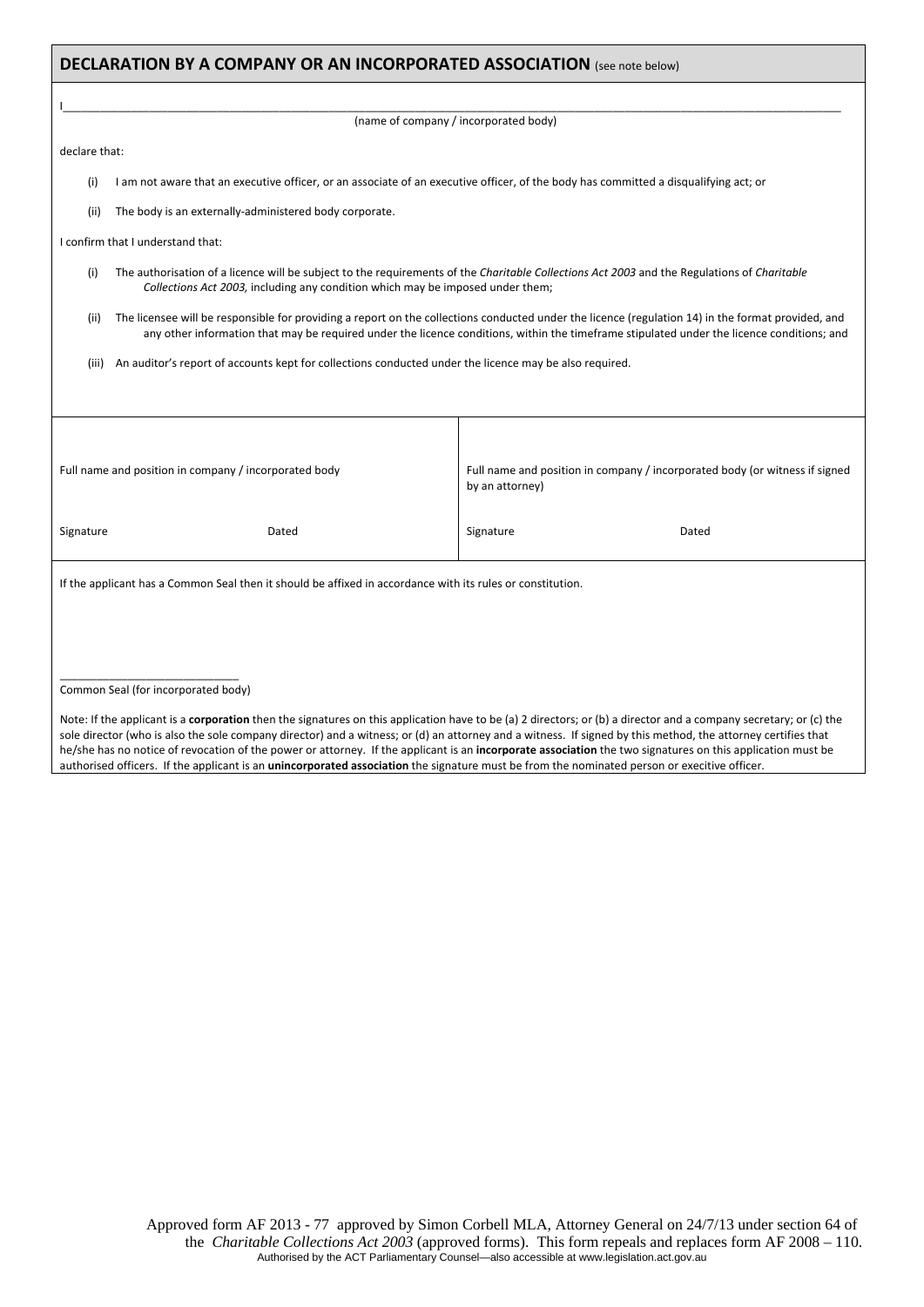| <b>DECLARATION BY A COMPANY OR AN INCORPORATED ASSOCIATION</b> (see note below)                                                 |                                                                                                                                      |                                                                                                                                                                                                                                                                                                  |  |  |  |  |
|---------------------------------------------------------------------------------------------------------------------------------|--------------------------------------------------------------------------------------------------------------------------------------|--------------------------------------------------------------------------------------------------------------------------------------------------------------------------------------------------------------------------------------------------------------------------------------------------|--|--|--|--|
|                                                                                                                                 |                                                                                                                                      |                                                                                                                                                                                                                                                                                                  |  |  |  |  |
|                                                                                                                                 | (name of company / incorporated body)                                                                                                |                                                                                                                                                                                                                                                                                                  |  |  |  |  |
| declare that:                                                                                                                   |                                                                                                                                      |                                                                                                                                                                                                                                                                                                  |  |  |  |  |
| (i)                                                                                                                             | I am not aware that an executive officer, or an associate of an executive officer, of the body has committed a disqualifying act; or |                                                                                                                                                                                                                                                                                                  |  |  |  |  |
| (ii)                                                                                                                            | The body is an externally-administered body corporate.                                                                               |                                                                                                                                                                                                                                                                                                  |  |  |  |  |
|                                                                                                                                 | I confirm that I understand that:                                                                                                    |                                                                                                                                                                                                                                                                                                  |  |  |  |  |
| (i)                                                                                                                             | Collections Act 2003, including any condition which may be imposed under them;                                                       | The authorisation of a licence will be subject to the requirements of the Charitable Collections Act 2003 and the Regulations of Charitable                                                                                                                                                      |  |  |  |  |
| (ii)                                                                                                                            |                                                                                                                                      | The licensee will be responsible for providing a report on the collections conducted under the licence (regulation 14) in the format provided, and<br>any other information that may be required under the licence conditions, within the timeframe stipulated under the licence conditions; and |  |  |  |  |
| (iii)                                                                                                                           | An auditor's report of accounts kept for collections conducted under the licence may be also required.                               |                                                                                                                                                                                                                                                                                                  |  |  |  |  |
|                                                                                                                                 |                                                                                                                                      |                                                                                                                                                                                                                                                                                                  |  |  |  |  |
|                                                                                                                                 |                                                                                                                                      |                                                                                                                                                                                                                                                                                                  |  |  |  |  |
|                                                                                                                                 |                                                                                                                                      |                                                                                                                                                                                                                                                                                                  |  |  |  |  |
|                                                                                                                                 | Full name and position in company / incorporated body                                                                                | Full name and position in company / incorporated body (or witness if signed<br>by an attorney)                                                                                                                                                                                                   |  |  |  |  |
| Signature                                                                                                                       | Dated                                                                                                                                | Signature<br>Dated                                                                                                                                                                                                                                                                               |  |  |  |  |
| If the applicant has a Common Seal then it should be affixed in accordance with its rules or constitution.                      |                                                                                                                                      |                                                                                                                                                                                                                                                                                                  |  |  |  |  |
|                                                                                                                                 |                                                                                                                                      |                                                                                                                                                                                                                                                                                                  |  |  |  |  |
|                                                                                                                                 |                                                                                                                                      |                                                                                                                                                                                                                                                                                                  |  |  |  |  |
|                                                                                                                                 |                                                                                                                                      |                                                                                                                                                                                                                                                                                                  |  |  |  |  |
| Common Seal (for incorporated body)                                                                                             |                                                                                                                                      |                                                                                                                                                                                                                                                                                                  |  |  |  |  |
| Note: If the anglicant is a severe weber than the signatures an this anglication house to be (a) 3 divertors, as (b) a divertor |                                                                                                                                      |                                                                                                                                                                                                                                                                                                  |  |  |  |  |

Note: If the applicant is a **corporation** then the signatures on this application have to be (a) 2 directors; or (b) a director and a company secretary; or (c) the sole director (who is also the sole company director) and a witness; or (d) an attorney and a witness. If signed by this method, the attorney certifies that he/she has no notice of revocation of the power or attorney. If the applicant is an **incorporate association** the two signatures on this application must be authorised officers. If the applicant is an **unincorporated association** the signature must be from the nominated person or execitive officer.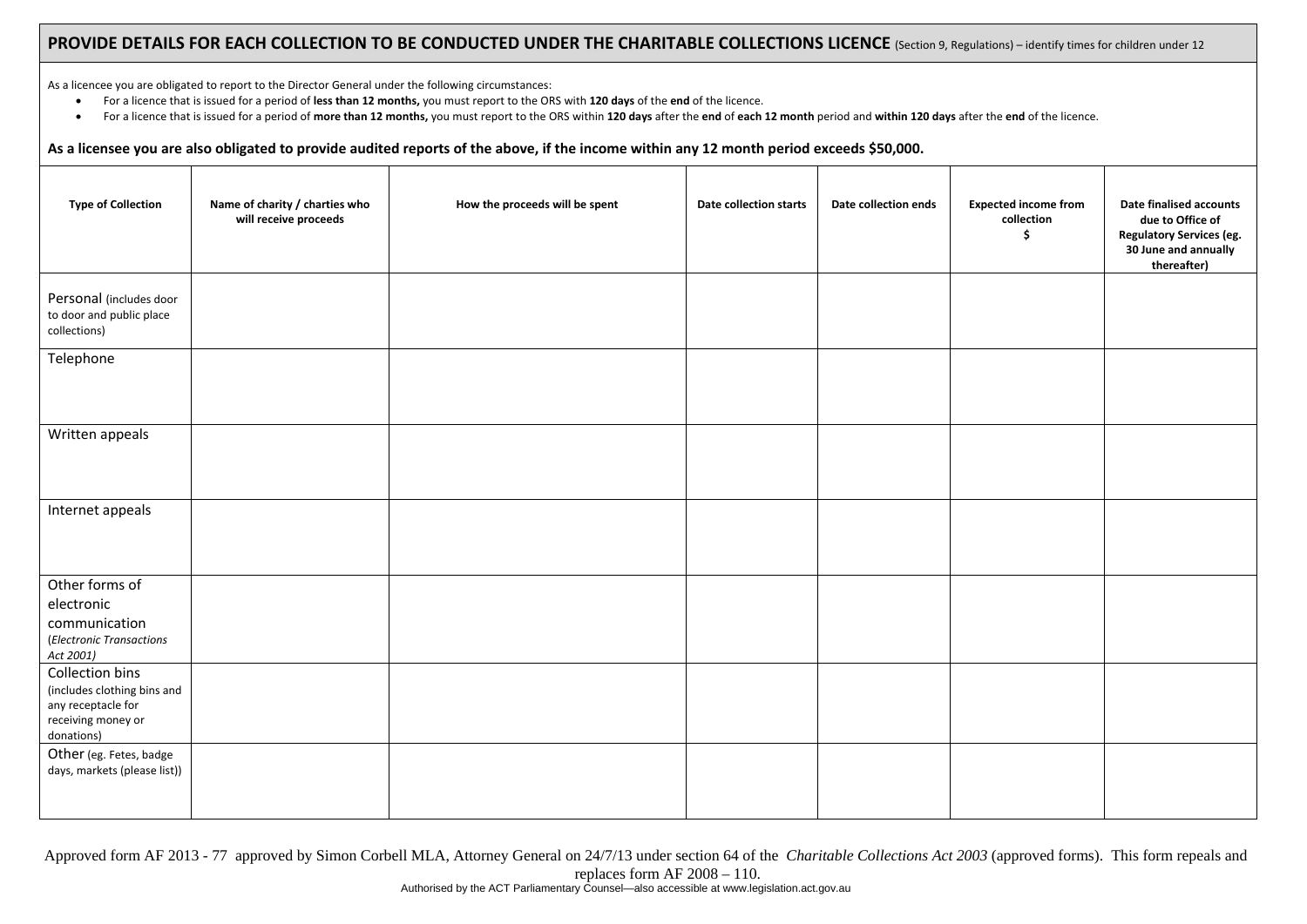#### PROVIDE DETAILS FOR EACH COLLECTION TO BE CONDUCTED UNDER THE CHARITABLE COLLECTIONS LICENCE (Section 9, Regulations) – identify times for children under 12

As a licencee you are obligated to report to the Director General under the following circumstances:

- $\bullet$ For <sup>a</sup> licence that is issued for <sup>a</sup> period of **less than 12 months,** you must report to the ORS with **120 days** of the **end** of the licence.
- $\bullet$ • For a licence that is issued for a period of more than 12 months, you must report to the ORS within 120 days after the end of each 12 month period and within 120 days after the end of the licence.

#### As a licensee you are also obligated to provide audited reports of the above, if the income within any 12 month period exceeds \$50,000.

| <b>Type of Collection</b>                                                                                | Name of charity / charties who<br>will receive proceeds | How the proceeds will be spent | <b>Date collection starts</b> | Date collection ends | <b>Expected income from</b><br>collection<br>\$ | Date finalised accounts<br>due to Office of<br><b>Regulatory Services (eg.</b><br>30 June and annually<br>thereafter) |
|----------------------------------------------------------------------------------------------------------|---------------------------------------------------------|--------------------------------|-------------------------------|----------------------|-------------------------------------------------|-----------------------------------------------------------------------------------------------------------------------|
| Personal (includes door<br>to door and public place<br>collections)                                      |                                                         |                                |                               |                      |                                                 |                                                                                                                       |
| Telephone                                                                                                |                                                         |                                |                               |                      |                                                 |                                                                                                                       |
| Written appeals                                                                                          |                                                         |                                |                               |                      |                                                 |                                                                                                                       |
| Internet appeals                                                                                         |                                                         |                                |                               |                      |                                                 |                                                                                                                       |
| Other forms of<br>electronic<br>communication<br>(Electronic Transactions<br>Act 2001)                   |                                                         |                                |                               |                      |                                                 |                                                                                                                       |
| Collection bins<br>(includes clothing bins and<br>any receptacle for<br>receiving money or<br>donations) |                                                         |                                |                               |                      |                                                 |                                                                                                                       |
| Other (eg. Fetes, badge<br>days, markets (please list))                                                  |                                                         |                                |                               |                      |                                                 |                                                                                                                       |

Approved form AF 2013 - 77 approved by Simon Corbell MLA, Attorney General on 24/7/13 under section 64 of the *Charitable Collections Act 2003* (approved forms). This form repeals and replaces form AF 2008 – 110. Authorised by the ACT Parliamentary Counsel—also accessible at www.legislation.act.gov.au